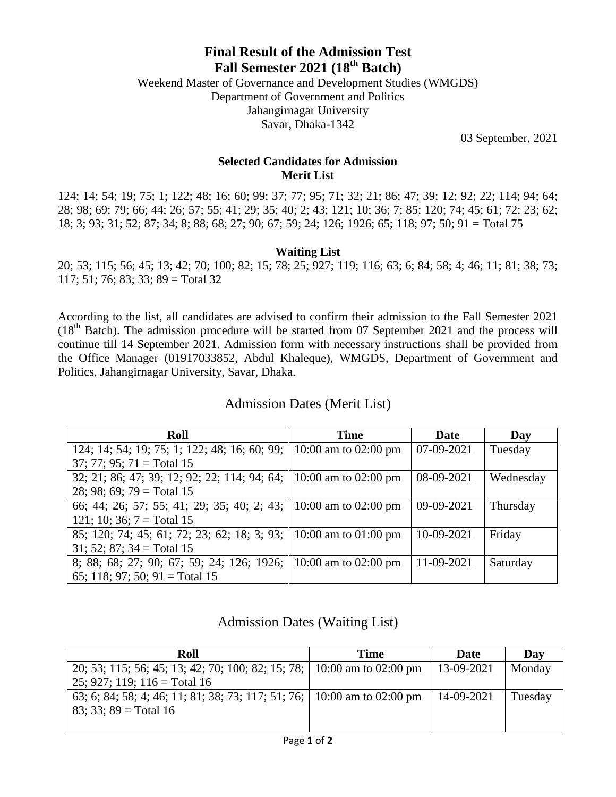# **Final Result of the Admission Test Fall Semester 2021 (18th Batch)**

Weekend Master of Governance and Development Studies (WMGDS) Department of Government and Politics Jahangirnagar University Savar, Dhaka-1342

03 September, 2021

### **Selected Candidates for Admission Merit List**

124; 14; 54; 19; 75; 1; 122; 48; 16; 60; 99; 37; 77; 95; 71; 32; 21; 86; 47; 39; 12; 92; 22; 114; 94; 64; 28; 98; 69; 79; 66; 44; 26; 57; 55; 41; 29; 35; 40; 2; 43; 121; 10; 36; 7; 85; 120; 74; 45; 61; 72; 23; 62; 18; 3; 93; 31; 52; 87; 34; 8; 88; 68; 27; 90; 67; 59; 24; 126; 1926; 65; 118; 97; 50; 91 = Total 75

### **Waiting List**

20; 53; 115; 56; 45; 13; 42; 70; 100; 82; 15; 78; 25; 927; 119; 116; 63; 6; 84; 58; 4; 46; 11; 81; 38; 73; 117; 51; 76; 83; 33; 89 = Total 32

According to the list, all candidates are advised to confirm their admission to the Fall Semester 2021 (18<sup>th</sup> Batch). The admission procedure will be started from 07 September 2021 and the process will continue till 14 September 2021. Admission form with necessary instructions shall be provided from the Office Manager (01917033852, Abdul Khaleque), WMGDS, Department of Government and Politics, Jahangirnagar University, Savar, Dhaka.

#### **Roll Time Date Day** 124; 14; 54; 19; 75; 1; 122; 48; 16; 60; 99; 37; 77; 95; 71 = Total 15 10:00 am to 02:00 pm  $\vert$  07-09-2021 Tuesday 32; 21; 86; 47; 39; 12; 92; 22; 114; 94; 64; 28; 98; 69; 79 = Total 15 10:00 am to 02:00 pm  $\begin{array}{|l} 0.09 - 0.021 \end{array}$  Wednesday 66; 44; 26; 57; 55; 41; 29; 35; 40; 2; 43; 121; 10; 36;  $7 = \text{Total } 15$ 10:00 am to 02:00 pm | 09-09-2021 | Thursday 85; 120; 74; 45; 61; 72; 23; 62; 18; 3; 93;  $31; 52; 87; 34 = Total 15$ 10:00 am to 01:00 pm | 10-09-2021 | Friday 8; 88; 68; 27; 90; 67; 59; 24; 126; 1926; 65; 118; 97; 50; 91 = Total 15 10:00 am to 02:00 pm | 11-09-2021 | Saturday

## Admission Dates (Merit List)

### Admission Dates (Waiting List)

| Roll                                                                    | <b>Time</b> | Date         | Day     |
|-------------------------------------------------------------------------|-------------|--------------|---------|
| 20, 53, 115, 56, 45, 13, 42, 70, 100, 82, 15, 78, 10:00 am to 02:00 pm  |             | $13-09-2021$ | Monday  |
| $25$ ; 927; 119; 116 = Total 16                                         |             |              |         |
| 63; 6; 84; 58; 4; 46; 11; 81; 38; 73; 117; 51; 76; 10:00 am to 02:00 pm |             | $14-09-2021$ | Tuesday |
| $83$ ; 33; 89 = Total 16                                                |             |              |         |
|                                                                         |             |              |         |